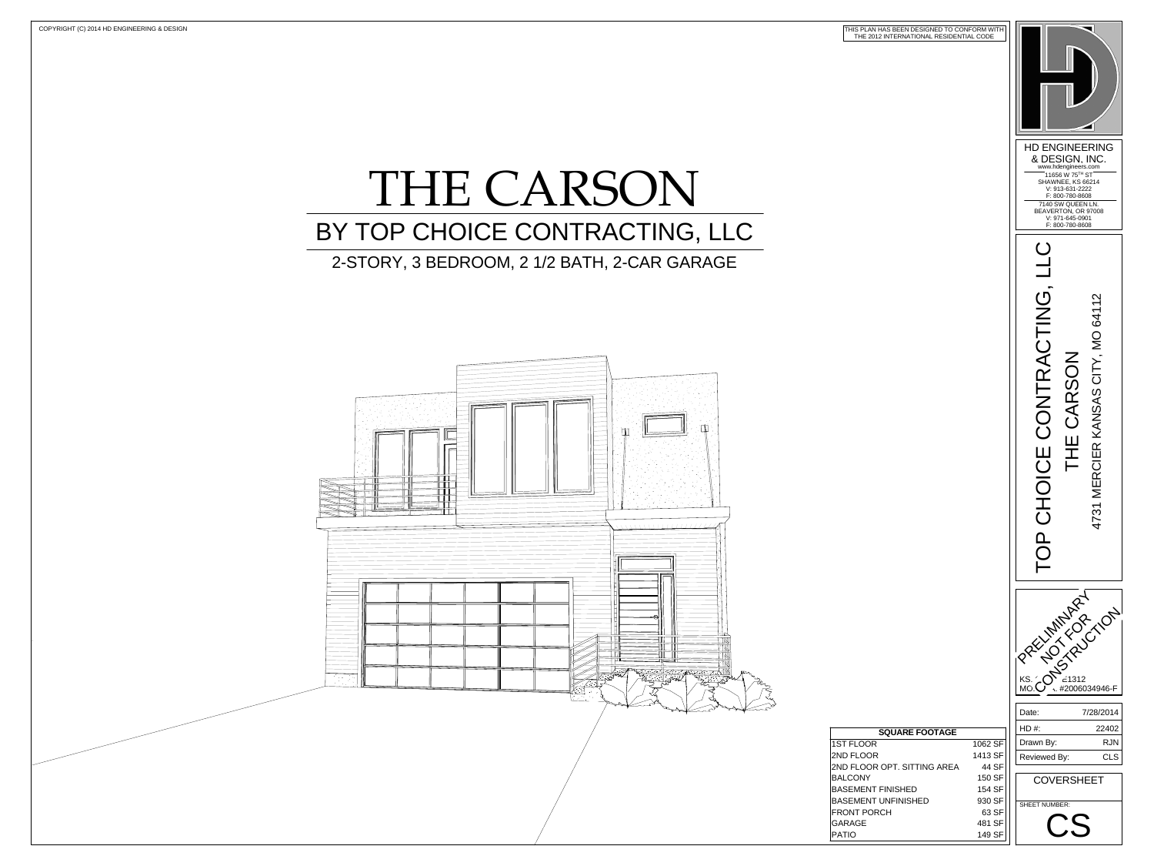

## THE CARSON 2-STORY, 3 BEDROOM, 2 1/2 BATH, 2-CAR GARAGE BY TOP CHOICE CONTRACTING, LLC



| <b>SQUARE FOOTAGE</b>       |         |
|-----------------------------|---------|
| <b>1ST FLOOR</b>            | 1062 SF |
| 2ND FLOOR                   | 1413 SF |
| 2ND FLOOR OPT. SITTING AREA | 44 SF   |
| <b>BALCONY</b>              | 150 SF  |
| <b>BASEMENT FINISHED</b>    | 154 SF  |
| <b>BASEMENT UNFINISHED</b>  | 930 SF  |
| <b>FRONT PORCH</b>          | 63 SF   |
| <b>GARAGE</b>               | 481 SF  |
| <b>PATIO</b>                | 149 SF  |

THIS PLAN HAS BEEN DESIGNED TO CONFORM WITH THE 2012 INTERNATIONAL RESIDENTIAL CODE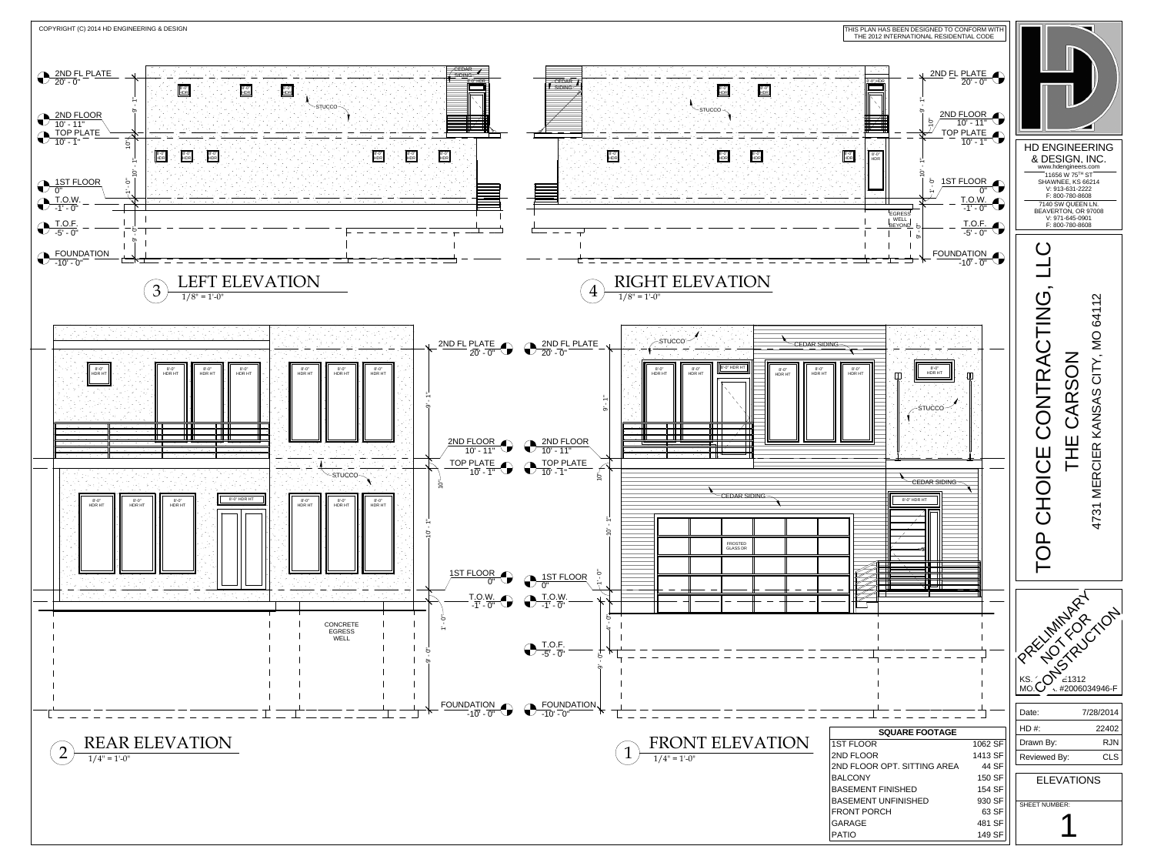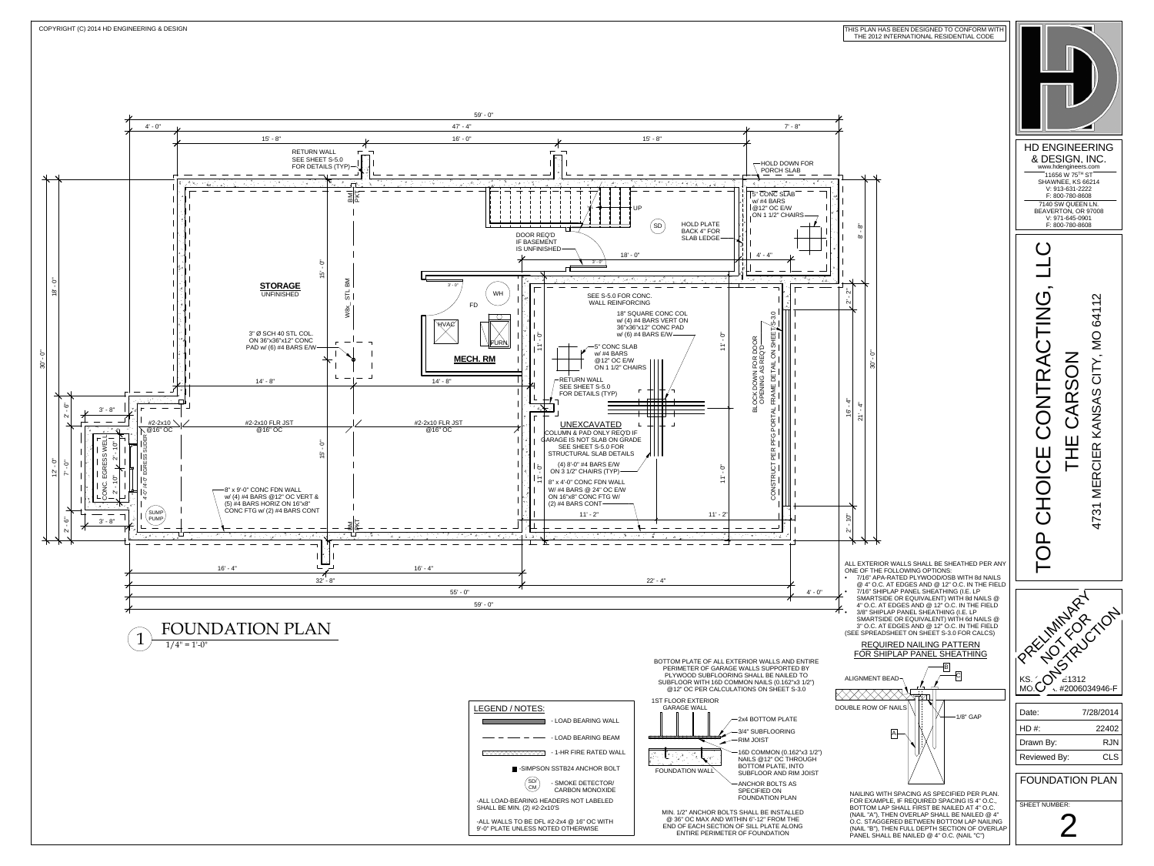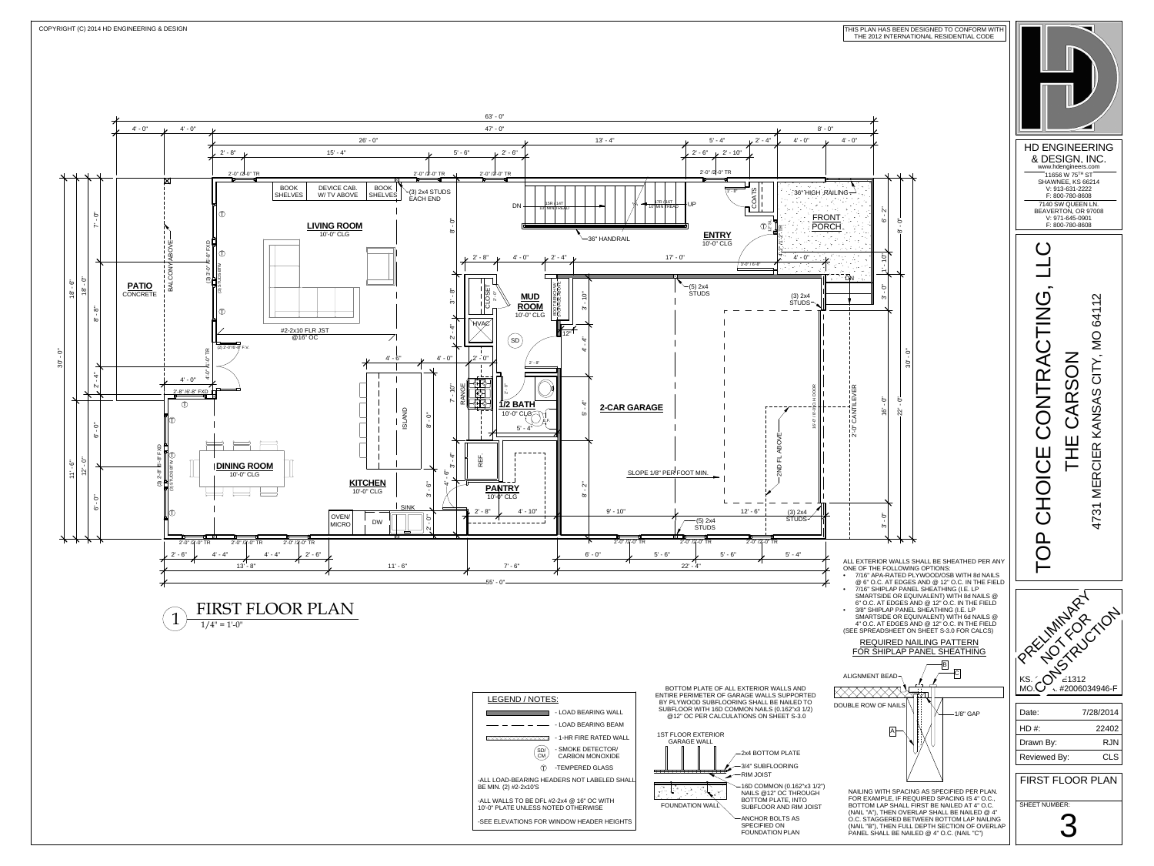| LEGEND / NOTES:                                                               |                                      |  |
|-------------------------------------------------------------------------------|--------------------------------------|--|
|                                                                               | - LOAD BEARING                       |  |
|                                                                               | - LOAD BEARING                       |  |
|                                                                               | - 1-HR FIRE RATI                     |  |
|                                                                               | - SMOKE DETECT<br><b>CARBON MONC</b> |  |
| T)                                                                            | -TEMPERED GLA                        |  |
| -ALL LOAD-BEARING HEADERS NOT LABEL<br>BE MIN. (2) #2-2x10'S                  |                                      |  |
| -ALL WALLS TO BE DFL #2-2x4 @ 16" OC W<br>10'-0" PLATE UNLESS NOTED OTHERWISE |                                      |  |
| -SEE ELEVATIONS FOR WINDOW HEADER                                             |                                      |  |
|                                                                               |                                      |  |